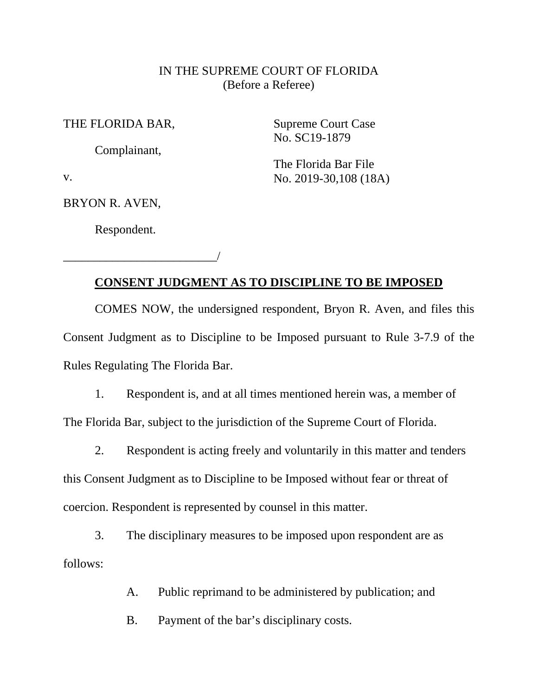## IN THE SUPREME COURT OF FLORIDA (Before a Referee)

THE FLORIDA BAR,

Complainant,

Supreme Court Case No. SC19-1879

The Florida Bar File No. 2019-30,108 (18A)

v.

BRYON R. AVEN,

Respondent.

\_\_\_\_\_\_\_\_\_\_\_\_\_\_\_\_\_\_\_\_\_\_\_\_\_/

## **CONSENT JUDGMENT AS TO DISCIPLINE TO BE IMPOSED**

COMES NOW, the undersigned respondent, Bryon R. Aven, and files this Consent Judgment as to Discipline to be Imposed pursuant to Rule 3-7.9 of the Rules Regulating The Florida Bar.

1. Respondent is, and at all times mentioned herein was, a member of The Florida Bar, subject to the jurisdiction of the Supreme Court of Florida.

2. Respondent is acting freely and voluntarily in this matter and tenders this Consent Judgment as to Discipline to be Imposed without fear or threat of

coercion. Respondent is represented by counsel in this matter.

3. The disciplinary measures to be imposed upon respondent are as follows:

A. Public reprimand to be administered by publication; and

B. Payment of the bar's disciplinary costs.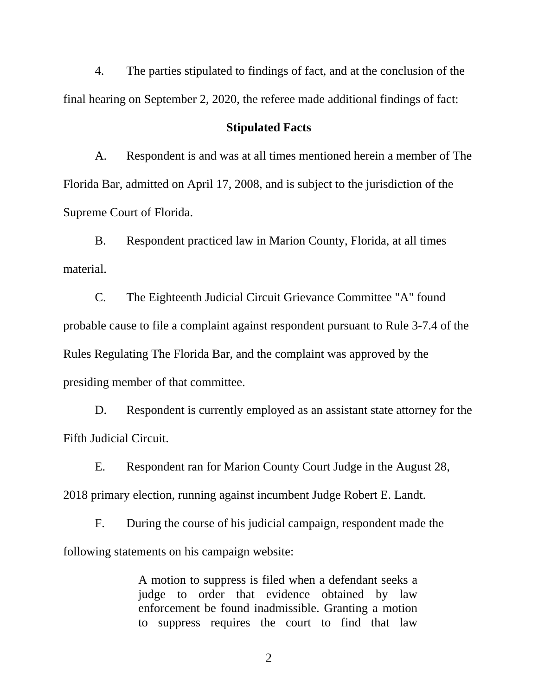4. The parties stipulated to findings of fact, and at the conclusion of the final hearing on September 2, 2020, the referee made additional findings of fact:

## **Stipulated Facts**

A. Respondent is and was at all times mentioned herein a member of The Florida Bar, admitted on April 17, 2008, and is subject to the jurisdiction of the Supreme Court of Florida.

B. Respondent practiced law in Marion County, Florida, at all times material.

C. The Eighteenth Judicial Circuit Grievance Committee "A" found probable cause to file a complaint against respondent pursuant to Rule 3-7.4 of the Rules Regulating The Florida Bar, and the complaint was approved by the presiding member of that committee.

D. Respondent is currently employed as an assistant state attorney for the Fifth Judicial Circuit.

E. Respondent ran for Marion County Court Judge in the August 28, 2018 primary election, running against incumbent Judge Robert E. Landt.

F. During the course of his judicial campaign, respondent made the following statements on his campaign website:

> A motion to suppress is filed when a defendant seeks a judge to order that evidence obtained by law enforcement be found inadmissible. Granting a motion to suppress requires the court to find that law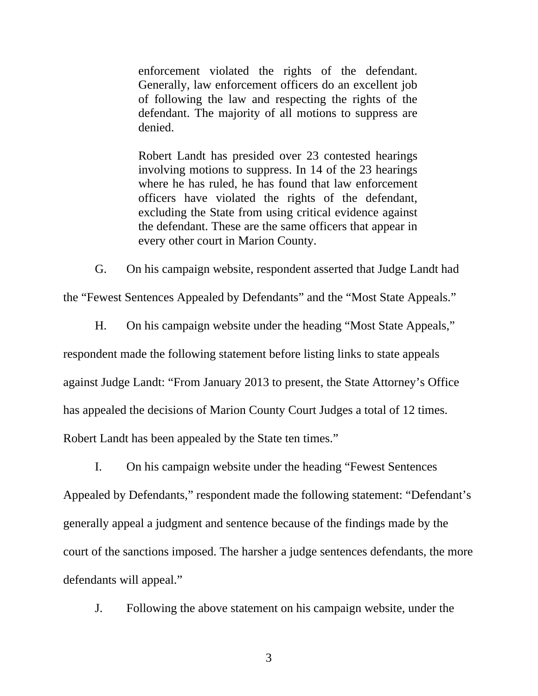enforcement violated the rights of the defendant. Generally, law enforcement officers do an excellent job of following the law and respecting the rights of the defendant. The majority of all motions to suppress are denied.

Robert Landt has presided over 23 contested hearings involving motions to suppress. In 14 of the 23 hearings where he has ruled, he has found that law enforcement officers have violated the rights of the defendant, excluding the State from using critical evidence against the defendant. These are the same officers that appear in every other court in Marion County.

G. On his campaign website, respondent asserted that Judge Landt had

the "Fewest Sentences Appealed by Defendants" and the "Most State Appeals."

H. On his campaign website under the heading "Most State Appeals," respondent made the following statement before listing links to state appeals against Judge Landt: "From January 2013 to present, the State Attorney's Office has appealed the decisions of Marion County Court Judges a total of 12 times. Robert Landt has been appealed by the State ten times."

I. On his campaign website under the heading "Fewest Sentences Appealed by Defendants," respondent made the following statement: "Defendant's generally appeal a judgment and sentence because of the findings made by the court of the sanctions imposed. The harsher a judge sentences defendants, the more defendants will appeal."

J. Following the above statement on his campaign website, under the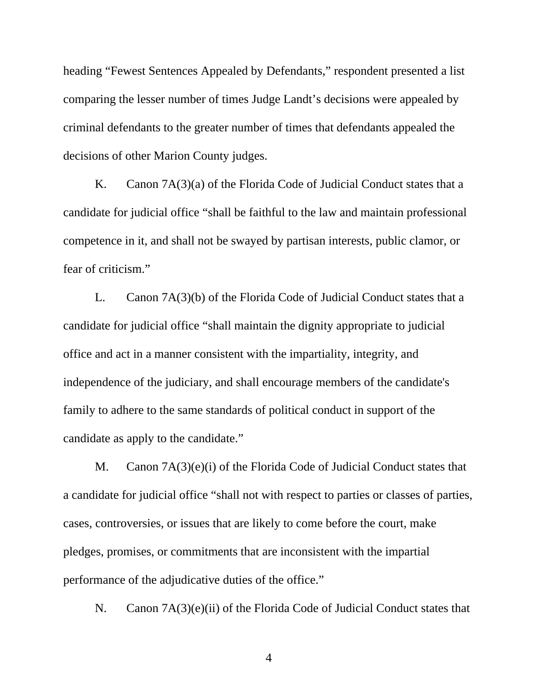heading "Fewest Sentences Appealed by Defendants," respondent presented a list comparing the lesser number of times Judge Landt's decisions were appealed by criminal defendants to the greater number of times that defendants appealed the decisions of other Marion County judges.

K. Canon 7A(3)(a) of the Florida Code of Judicial Conduct states that a candidate for judicial office "shall be faithful to the law and maintain professional competence in it, and shall not be swayed by partisan interests, public clamor, or fear of criticism."

L. Canon 7A(3)(b) of the Florida Code of Judicial Conduct states that a candidate for judicial office "shall maintain the dignity appropriate to judicial office and act in a manner consistent with the impartiality, integrity, and independence of the judiciary, and shall encourage members of the candidate's family to adhere to the same standards of political conduct in support of the candidate as apply to the candidate."

M. Canon 7A(3)(e)(i) of the Florida Code of Judicial Conduct states that a candidate for judicial office "shall not with respect to parties or classes of parties, cases, controversies, or issues that are likely to come before the court, make pledges, promises, or commitments that are inconsistent with the impartial performance of the adjudicative duties of the office."

N. Canon 7A(3)(e)(ii) of the Florida Code of Judicial Conduct states that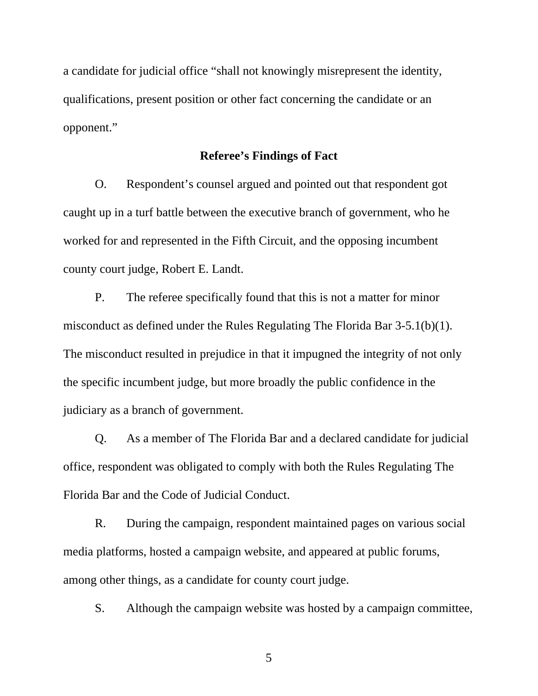a candidate for judicial office "shall not knowingly misrepresent the identity, qualifications, present position or other fact concerning the candidate or an opponent."

## **Referee's Findings of Fact**

O. Respondent's counsel argued and pointed out that respondent got caught up in a turf battle between the executive branch of government, who he worked for and represented in the Fifth Circuit, and the opposing incumbent county court judge, Robert E. Landt.

P. The referee specifically found that this is not a matter for minor misconduct as defined under the Rules Regulating The Florida Bar 3-5.1(b)(1). The misconduct resulted in prejudice in that it impugned the integrity of not only the specific incumbent judge, but more broadly the public confidence in the judiciary as a branch of government.

Q. As a member of The Florida Bar and a declared candidate for judicial office, respondent was obligated to comply with both the Rules Regulating The Florida Bar and the Code of Judicial Conduct.

R. During the campaign, respondent maintained pages on various social media platforms, hosted a campaign website, and appeared at public forums, among other things, as a candidate for county court judge.

S. Although the campaign website was hosted by a campaign committee,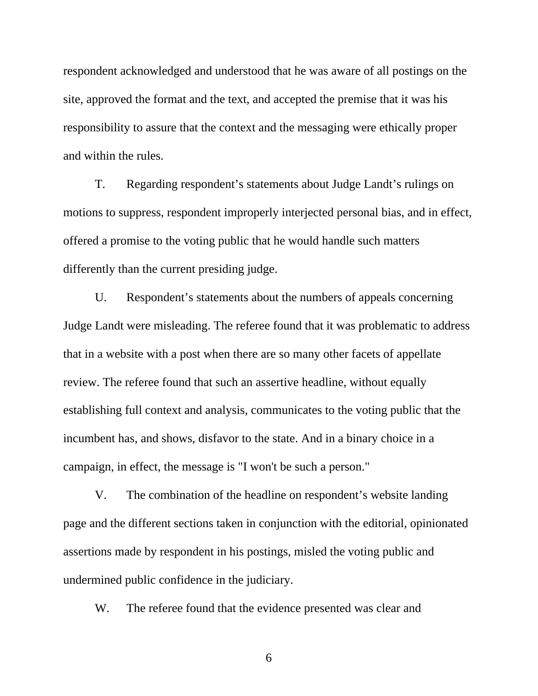respondent acknowledged and understood that he was aware of all postings on the site, approved the format and the text, and accepted the premise that it was his responsibility to assure that the context and the messaging were ethically proper and within the rules.

T. Regarding respondent's statements about Judge Landt's rulings on motions to suppress, respondent improperly interjected personal bias, and in effect, offered a promise to the voting public that he would handle such matters differently than the current presiding judge.

U. Respondent's statements about the numbers of appeals concerning Judge Landt were misleading. The referee found that it was problematic to address that in a website with a post when there are so many other facets of appellate review. The referee found that such an assertive headline, without equally establishing full context and analysis, communicates to the voting public that the incumbent has, and shows, disfavor to the state. And in a binary choice in a campaign, in effect, the message is "I won't be such a person."

V. The combination of the headline on respondent's website landing page and the different sections taken in conjunction with the editorial, opinionated assertions made by respondent in his postings, misled the voting public and undermined public confidence in the judiciary.

W. The referee found that the evidence presented was clear and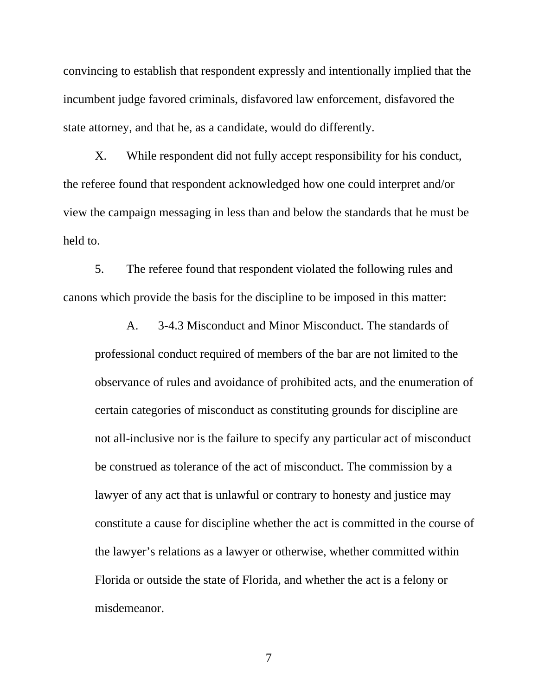convincing to establish that respondent expressly and intentionally implied that the incumbent judge favored criminals, disfavored law enforcement, disfavored the state attorney, and that he, as a candidate, would do differently.

X. While respondent did not fully accept responsibility for his conduct, the referee found that respondent acknowledged how one could interpret and/or view the campaign messaging in less than and below the standards that he must be held to.

5. The referee found that respondent violated the following rules and canons which provide the basis for the discipline to be imposed in this matter:

A. 3-4.3 Misconduct and Minor Misconduct. The standards of professional conduct required of members of the bar are not limited to the observance of rules and avoidance of prohibited acts, and the enumeration of certain categories of misconduct as constituting grounds for discipline are not all-inclusive nor is the failure to specify any particular act of misconduct be construed as tolerance of the act of misconduct. The commission by a lawyer of any act that is unlawful or contrary to honesty and justice may constitute a cause for discipline whether the act is committed in the course of the lawyer's relations as a lawyer or otherwise, whether committed within Florida or outside the state of Florida, and whether the act is a felony or misdemeanor.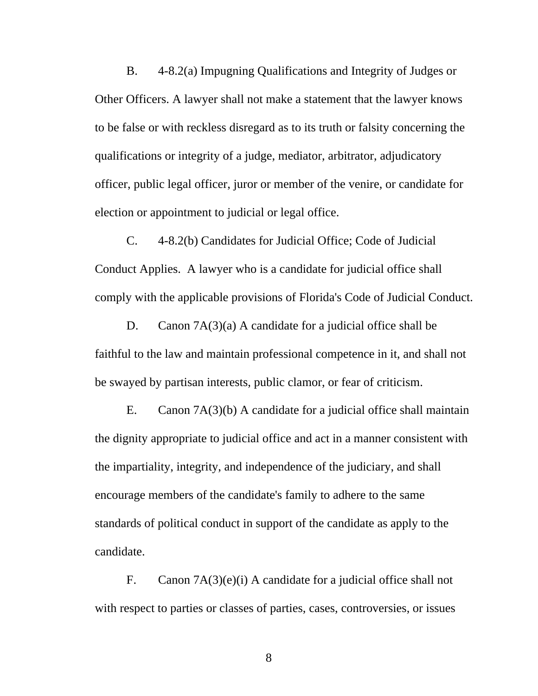B. 4-8.2(a) Impugning Qualifications and Integrity of Judges or Other Officers. A lawyer shall not make a statement that the lawyer knows to be false or with reckless disregard as to its truth or falsity concerning the qualifications or integrity of a judge, mediator, arbitrator, adjudicatory officer, public legal officer, juror or member of the venire, or candidate for election or appointment to judicial or legal office.

C. 4-8.2(b) Candidates for Judicial Office; Code of Judicial Conduct Applies. A lawyer who is a candidate for judicial office shall comply with the applicable provisions of Florida's Code of Judicial Conduct.

D. Canon 7A(3)(a) A candidate for a judicial office shall be faithful to the law and maintain professional competence in it, and shall not be swayed by partisan interests, public clamor, or fear of criticism.

E. Canon 7A(3)(b) A candidate for a judicial office shall maintain the dignity appropriate to judicial office and act in a manner consistent with the impartiality, integrity, and independence of the judiciary, and shall encourage members of the candidate's family to adhere to the same standards of political conduct in support of the candidate as apply to the candidate.

F. Canon 7A(3)(e)(i) A candidate for a judicial office shall not with respect to parties or classes of parties, cases, controversies, or issues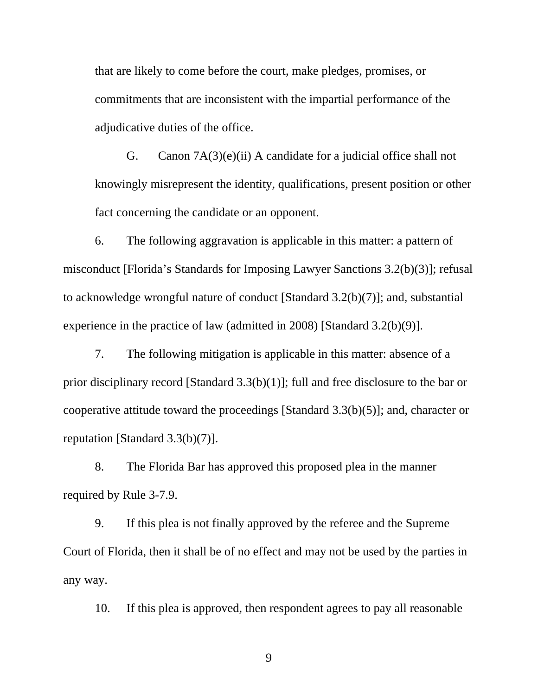that are likely to come before the court, make pledges, promises, or commitments that are inconsistent with the impartial performance of the adjudicative duties of the office.

G. Canon 7A(3)(e)(ii) A candidate for a judicial office shall not knowingly misrepresent the identity, qualifications, present position or other fact concerning the candidate or an opponent.

6. The following aggravation is applicable in this matter: a pattern of misconduct [Florida's Standards for Imposing Lawyer Sanctions 3.2(b)(3)]; refusal to acknowledge wrongful nature of conduct [Standard 3.2(b)(7)]; and, substantial experience in the practice of law (admitted in 2008) [Standard 3.2(b)(9)].

7. The following mitigation is applicable in this matter: absence of a prior disciplinary record [Standard 3.3(b)(1)]; full and free disclosure to the bar or cooperative attitude toward the proceedings [Standard 3.3(b)(5)]; and, character or reputation [Standard 3.3(b)(7)].

8. The Florida Bar has approved this proposed plea in the manner required by Rule 3-7.9.

9. If this plea is not finally approved by the referee and the Supreme Court of Florida, then it shall be of no effect and may not be used by the parties in any way.

10. If this plea is approved, then respondent agrees to pay all reasonable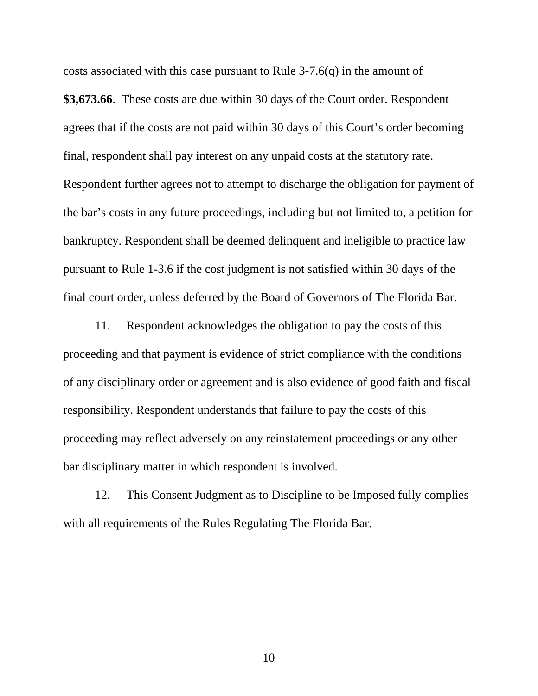costs associated with this case pursuant to Rule 3-7.6(q) in the amount of

**\$3,673.66**. These costs are due within 30 days of the Court order. Respondent agrees that if the costs are not paid within 30 days of this Court's order becoming final, respondent shall pay interest on any unpaid costs at the statutory rate. Respondent further agrees not to attempt to discharge the obligation for payment of the bar's costs in any future proceedings, including but not limited to, a petition for bankruptcy. Respondent shall be deemed delinquent and ineligible to practice law pursuant to Rule 1-3.6 if the cost judgment is not satisfied within 30 days of the final court order, unless deferred by the Board of Governors of The Florida Bar.

11. Respondent acknowledges the obligation to pay the costs of this proceeding and that payment is evidence of strict compliance with the conditions of any disciplinary order or agreement and is also evidence of good faith and fiscal responsibility. Respondent understands that failure to pay the costs of this proceeding may reflect adversely on any reinstatement proceedings or any other bar disciplinary matter in which respondent is involved.

12. This Consent Judgment as to Discipline to be Imposed fully complies with all requirements of the Rules Regulating The Florida Bar.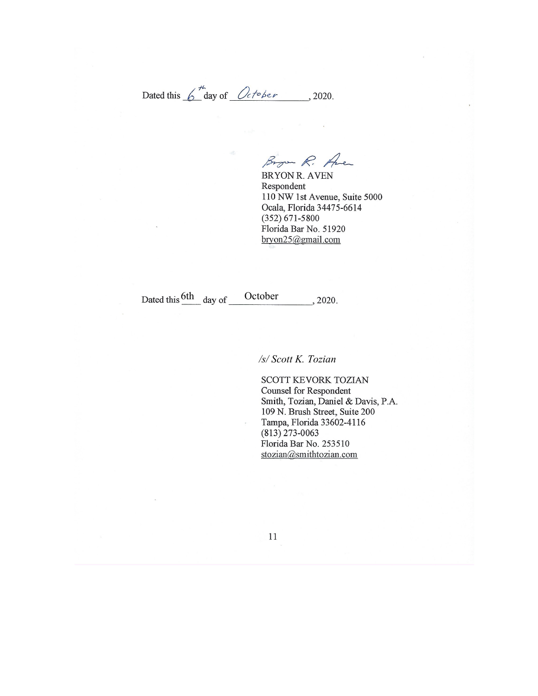Dated this  $6 \frac{m}{\omega}$  day of  $\omega$  *October*, 2020.

Brown R. Aven

BRYON R. AVEN Respondent 110 NW 1st Avenue, Suite 5000 Ocala, Florida 34475-6614  $(352) 671 - 5800$ Florida Bar No. 51920 bryon25@gmail.com

Dated this  $\frac{6th}{\text{day of}}$  of October 2020.

*/s/ Scott K. Tozian*

SCOTT KEVORK TOZIAN **Counsel for Respondent** Smith, Tozian, Daniel & Davis, P.A. 109 N. Brush Street, Suite 200 Tampa, Florida 33602-4116  $(813)$  273-0063 Florida Bar No. 253510 stozian@smithtozian.com

 $11\,$